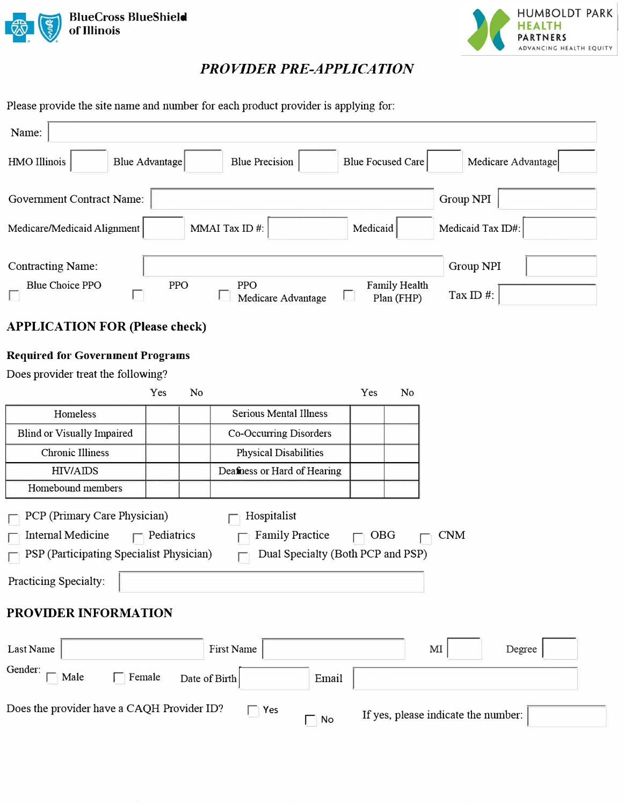



# *PROVIDER PRE-APPLICATION*

Please provide the site name and number for each product provider is applying for:

| Name:                                      |                   |               |                                   |                          |                                         |
|--------------------------------------------|-------------------|---------------|-----------------------------------|--------------------------|-----------------------------------------|
| HMO Illinois<br><b>Blue Advantage</b>      |                   |               | <b>Blue Precision</b>             | <b>Blue Focused Care</b> | Medicare Advantage                      |
| <b>Government Contract Name:</b>           |                   |               |                                   |                          | Group NPI                               |
| Medicare/Medicaid Alignment                |                   |               | MMAI Tax ID#:                     | Medicaid                 | Medicaid Tax ID#:                       |
| <b>Contracting Name:</b>                   |                   |               |                                   |                          | Group NPI                               |
| <b>Blue Choice PPO</b>                     | PPO               |               | <b>PPO</b><br>Medicare Advantage  |                          | Family Health<br>Tax ID#:<br>Plan (FHP) |
| <b>APPLICATION FOR (Please check)</b>      |                   |               |                                   |                          |                                         |
| <b>Required for Government Programs</b>    |                   |               |                                   |                          |                                         |
| Does provider treat the following?         |                   |               |                                   |                          |                                         |
|                                            | Yes               | No            |                                   | Yes                      | No                                      |
| Homeless                                   |                   |               | <b>Serious Mental Illness</b>     |                          |                                         |
| <b>Blind or Visually Impaired</b>          |                   |               | Co-Occurring Disorders            |                          |                                         |
| <b>Chronic Illiness</b>                    |                   |               | <b>Physical Disabilities</b>      |                          |                                         |
| <b>HIV/AIDS</b>                            |                   |               | Deafness or Hard of Hearing       |                          |                                         |
| Homebound members                          |                   |               |                                   |                          |                                         |
| PCP (Primary Care Physician)               |                   |               | Hospitalist                       |                          |                                         |
| <b>Internal Medicine</b>                   | $\Box$ Pediatrics |               | <b>Family Practice</b>            | $\Box$ OBG               | <b>CNM</b>                              |
| PSP (Participating Specialist Physician)   |                   |               | Dual Specialty (Both PCP and PSP) |                          |                                         |
| Practicing Specialty:                      |                   |               |                                   |                          |                                         |
| PROVIDER INFORMATION                       |                   |               |                                   |                          |                                         |
| Last Name                                  |                   |               | First Name                        |                          | $\mathbf{M}\mathbf{I}$<br>Degree        |
| Gender:<br>$\Box$ Male<br>Female           |                   | Date of Birth | Email                             |                          |                                         |
| Does the provider have a CAQH Provider ID? |                   |               | $\Box$ Yes<br>$\mathsf{No}$<br>П  |                          | If yes, please indicate the number:     |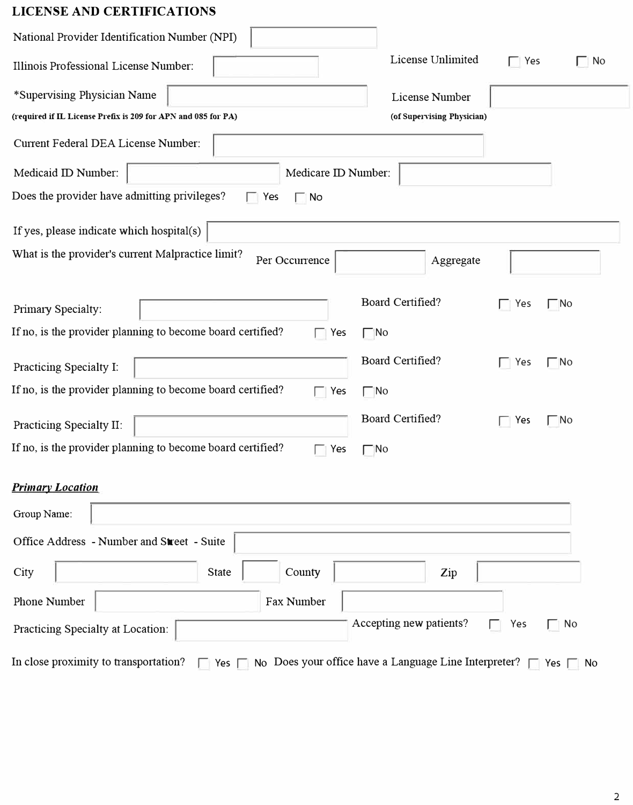# **LICENSE AND CERTIFICATIONS**

| National Provider Identification Number (NPI)                            |                                                                            |              |             |
|--------------------------------------------------------------------------|----------------------------------------------------------------------------|--------------|-------------|
| Illinois Professional License Number:                                    | License Unlimited                                                          | $\Box$ Yes   | $\Box$ No   |
| *Supervising Physician Name                                              | License Number                                                             |              |             |
| (required if IL License Prefix is 209 for APN and 085 for PA)            | (of Supervising Physician)                                                 |              |             |
| Current Federal DEA License Number:                                      |                                                                            |              |             |
| Medicaid ID Number:<br>Medicare ID Number:                               |                                                                            |              |             |
| Does the provider have admitting privileges?<br>$\Box$ Yes<br>$\Box$ No  |                                                                            |              |             |
| If yes, please indicate which hospital(s)                                |                                                                            |              |             |
| What is the provider's current Malpractice limit?<br>Per Occurrence      | Aggregate                                                                  |              |             |
| Primary Specialty:                                                       | Board Certified?                                                           | Yes          | $\sqcap$ No |
| If no, is the provider planning to become board certified?<br>$\Box$ Yes | $\Box$ No                                                                  |              |             |
| Practicing Specialty I:                                                  | Board Certified?                                                           | $\Gamma$ Yes | $\Gamma$ No |
| If no, is the provider planning to become board certified?<br>Yes        | $\Box$ No                                                                  |              |             |
| Practicing Specialty II:                                                 | Board Certified?                                                           | $\Box$ Yes   | $\Gamma$ No |
| If no, is the provider planning to become board certified?<br>Yes        | $\Box$ No                                                                  |              |             |
| <b>Primary Location</b>                                                  |                                                                            |              |             |
| Group Name:                                                              |                                                                            |              |             |
| Office Address - Number and Street - Suite                               |                                                                            |              |             |
| County<br>City<br><b>State</b>                                           | Zip                                                                        |              |             |
| Phone Number<br>Fax Number                                               |                                                                            |              |             |
| Practicing Specialty at Location:                                        | Accepting new patients?                                                    | Yes          | $\Box$ No   |
| In close proximity to transportation?<br>$\Box$ Yes $\Box$               | No Does your office have a Language Line Interpreter? $\Box$ Yes $\Box$ No |              |             |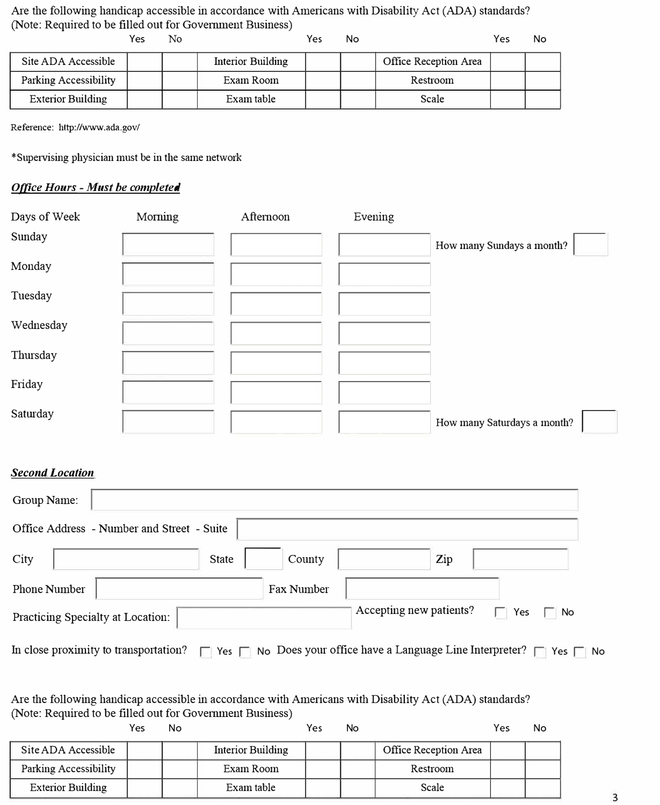Are the following handicap accessible in accordance with Americans with Disability Act (ADA) standards? (Note: Required to be filled out for Government Business)

|                              | Yes | N٥ |                   | Yes | No |                       | Yes | No |
|------------------------------|-----|----|-------------------|-----|----|-----------------------|-----|----|
| Site ADA Accessible          |     |    | Interior Building |     |    | Office Reception Area |     |    |
| <b>Parking Accessibility</b> |     |    | Exam Room         |     |    | Restroom              |     |    |
| <b>Exterior Building</b>     |     |    | Exam table        |     |    | Scale                 |     |    |

Reference: http://www.ada.gov/

\*Supervising physician must be in the same network

## *Ofilce Hours - Must be completed*

| Days of Week | Morning | Afternoon | Evening |                             |
|--------------|---------|-----------|---------|-----------------------------|
| Sunday       |         |           |         | How many Sundays a month?   |
| Monday       |         |           |         |                             |
| Tuesday      |         |           |         |                             |
| Wednesday    |         |           |         |                             |
| Thursday     |         |           |         |                             |
| Friday       |         |           |         |                             |
| Saturday     |         |           |         | How many Saturdays a month? |

### *Second Location*

| Group Name:                       |                                            |              |                   |                         |     |                                                                                              |
|-----------------------------------|--------------------------------------------|--------------|-------------------|-------------------------|-----|----------------------------------------------------------------------------------------------|
|                                   | Office Address - Number and Street - Suite |              |                   |                         |     |                                                                                              |
| City                              |                                            | <b>State</b> | County            |                         | Zip |                                                                                              |
| <b>Phone Number</b>               |                                            |              | <b>Fax Number</b> |                         |     |                                                                                              |
| Practicing Specialty at Location: |                                            |              |                   | Accepting new patients? |     | Yes<br>∏ No<br>ш                                                                             |
|                                   | In close proximity to transportation?      |              |                   |                         |     | $\Box$ Yes $\Box$ No Does your office have a Language Line Interpreter? $\Box$ Yes $\Box$ No |

#### Are the following handicap accessible in accordance with Americans with Disability Act (ADA) standards? (Note: Required to be filled out for Government Business)

|                          | Yes | No |                   | Yes | No |                       | Yes | No |
|--------------------------|-----|----|-------------------|-----|----|-----------------------|-----|----|
| Site ADA Accessible      |     |    | Interior Building |     |    | Office Reception Area |     |    |
| Parking Accessibility    |     |    | Exam Room         |     |    | Restroom              |     |    |
| <b>Exterior Building</b> |     |    | Exam table        |     |    | Scale                 |     |    |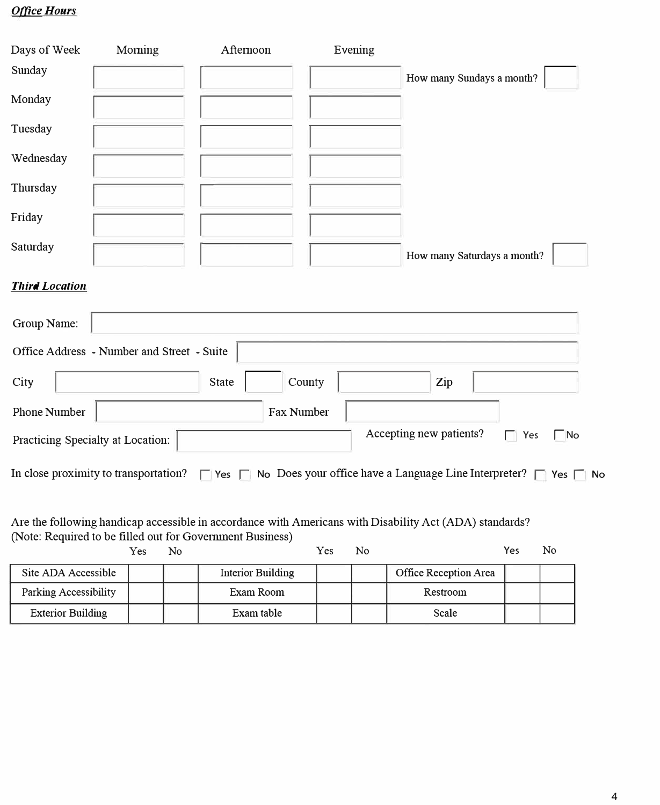## **Office Hours**

| Days of Week | Moming | Afternoon | Evening |                             |
|--------------|--------|-----------|---------|-----------------------------|
| Sunday       |        |           |         | How many Sundays a month?   |
| Monday       |        |           |         |                             |
| Tuesday      |        |           |         |                             |
| Wednesday    |        |           |         |                             |
| Thursday     |        |           |         |                             |
| Friday       |        |           |         |                             |
| Saturday     |        |           |         | How many Saturdays a month? |

### *Third Location*

| Group Name:                                |              |                   |                                                                                |     |           |                   |
|--------------------------------------------|--------------|-------------------|--------------------------------------------------------------------------------|-----|-----------|-------------------|
| Office Address - Number and Street - Suite |              |                   |                                                                                |     |           |                   |
| City                                       | <b>State</b> | County            |                                                                                | Zip |           |                   |
| <b>Phone Number</b>                        |              | <b>Fax Number</b> |                                                                                |     |           |                   |
| Practicing Specialty at Location:          |              |                   | Accepting new patients?                                                        |     | п.<br>Yes | $\Box$ No         |
| In close proximity to transportation?      |              |                   | $\Box$ Yes $\Box$ No Does your office have a Language Line Interpreter? $\Box$ |     |           | Yes $\Box$<br>No. |

Are the following handicap accessible in accordance with Americans with Disability Act (ADA) standards? (Note: Required to be filled out for Government Business)

|                          | Yes | No |                   | Yes | No |                       | Yes | No |
|--------------------------|-----|----|-------------------|-----|----|-----------------------|-----|----|
| Site ADA Accessible      |     |    | Interior Building |     |    | Office Reception Area |     |    |
| Parking Accessibility    |     |    | Exam Room         |     |    | Restroom              |     |    |
| <b>Exterior Building</b> |     |    | Exam table        |     |    | Scale                 |     |    |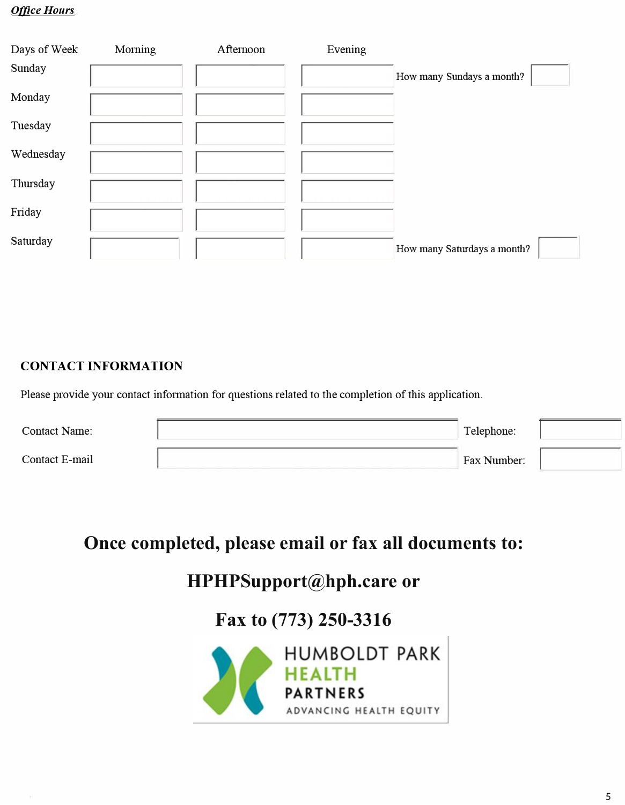## **Office Hours**

| Days of Week | Morning | Afternoon | Evening |                             |  |
|--------------|---------|-----------|---------|-----------------------------|--|
| Sunday       |         |           |         | How many Sundays a month?   |  |
| Monday       |         |           |         |                             |  |
| Tuesday      |         |           |         |                             |  |
| Wednesday    |         |           |         |                             |  |
| Thursday     |         |           |         |                             |  |
| Friday       |         |           |         |                             |  |
| Saturday     |         |           |         | How many Saturdays a month? |  |

# **CONTACT INFORMATION**

Please provide your contact information for questions related to the completion of this application.

| <b>Contact Name:</b> | Telephone:  |  |
|----------------------|-------------|--|
| Contact E-mail       | Fax Number: |  |

# **Once completed, please email or fax all documents to:**

# **HPHPSupport@hph.care**

**or**

# **Fax to (773) 250-3316**

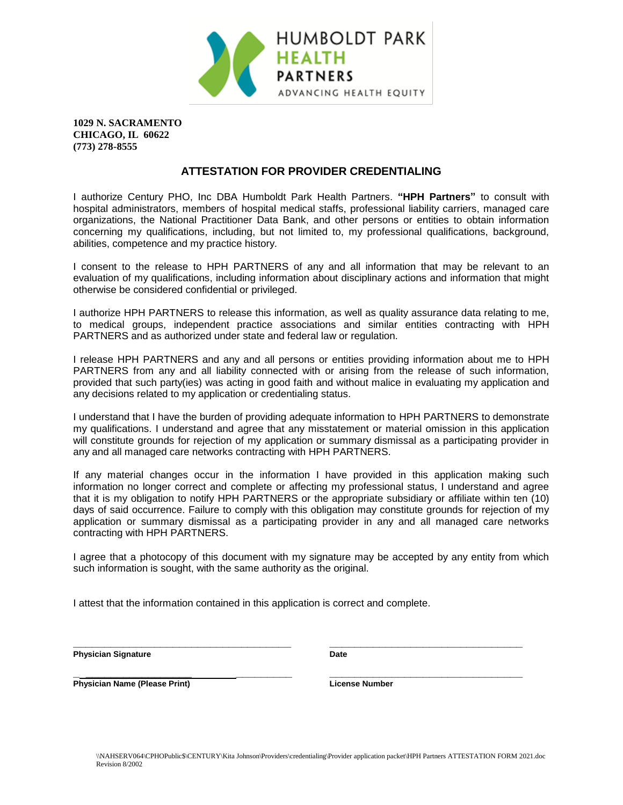

**1029 N. SACRAMENTO CHICAGO, IL 60622 (773) 278-8555**

#### **ATTESTATION FOR PROVIDER CREDENTIALING**

I authorize Century PHO, Inc DBA Humboldt Park Health Partners. **"HPH Partners"** to consult with hospital administrators, members of hospital medical staffs, professional liability carriers, managed care organizations, the National Practitioner Data Bank, and other persons or entities to obtain information concerning my qualifications, including, but not limited to, my professional qualifications, background, abilities, competence and my practice history.

I consent to the release to HPH PARTNERS of any and all information that may be relevant to an evaluation of my qualifications, including information about disciplinary actions and information that might otherwise be considered confidential or privileged.

I authorize HPH PARTNERS to release this information, as well as quality assurance data relating to me, to medical groups, independent practice associations and similar entities contracting with HPH PARTNERS and as authorized under state and federal law or regulation.

I release HPH PARTNERS and any and all persons or entities providing information about me to HPH PARTNERS from any and all liability connected with or arising from the release of such information, provided that such party(ies) was acting in good faith and without malice in evaluating my application and any decisions related to my application or credentialing status.

I understand that I have the burden of providing adequate information to HPH PARTNERS to demonstrate my qualifications. I understand and agree that any misstatement or material omission in this application will constitute grounds for rejection of my application or summary dismissal as a participating provider in any and all managed care networks contracting with HPH PARTNERS.

If any material changes occur in the information I have provided in this application making such information no longer correct and complete or affecting my professional status, I understand and agree that it is my obligation to notify HPH PARTNERS or the appropriate subsidiary or affiliate within ten (10) days of said occurrence. Failure to comply with this obligation may constitute grounds for rejection of my application or summary dismissal as a participating provider in any and all managed care networks contracting with HPH PARTNERS.

I agree that a photocopy of this document with my signature may be accepted by any entity from which such information is sought, with the same authority as the original.

**\_\_\_\_\_\_\_\_\_\_\_\_\_\_\_\_\_\_\_\_\_\_\_\_\_\_\_\_\_\_\_\_\_\_\_ \_\_\_\_\_\_\_\_\_\_\_\_\_\_\_\_\_\_\_\_\_\_\_\_\_\_\_\_\_\_\_**

I attest that the information contained in this application is correct and complete.

Physician Signature **Date Date Date** 

**\_ \_\_\_\_\_\_\_\_\_\_\_\_\_\_\_\_\_ \_\_\_\_\_\_\_\_\_ \_\_\_\_\_\_\_\_\_\_\_\_\_\_\_\_\_\_\_\_\_\_\_\_\_\_\_\_\_\_\_ Physician Name (Please Print)** License Number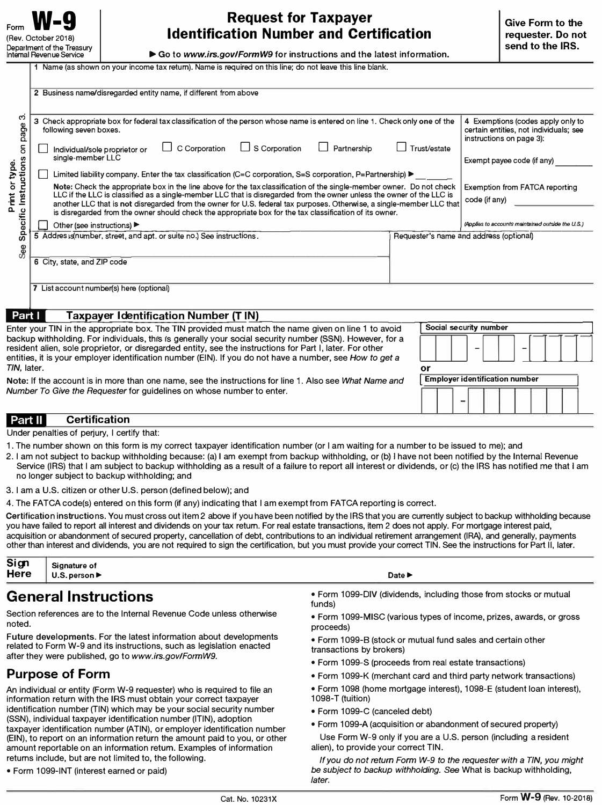# **Request for Taxpayer Identification Number and Certification**

►Goto *www.irs.gov/FormW9* for instructions and the latest information.

**1 Name (as shown on your income tax return). Name is required on this line; do not leave this line blank.** 

| 2 Business name/disregarded entity name, if different from above                                           |                                                                                                                                                                                                                                                                                                                                                                                                                                                                                                                                                                                                                                                                                                                                                                                                                                                                                                                                           |
|------------------------------------------------------------------------------------------------------------|-------------------------------------------------------------------------------------------------------------------------------------------------------------------------------------------------------------------------------------------------------------------------------------------------------------------------------------------------------------------------------------------------------------------------------------------------------------------------------------------------------------------------------------------------------------------------------------------------------------------------------------------------------------------------------------------------------------------------------------------------------------------------------------------------------------------------------------------------------------------------------------------------------------------------------------------|
| following seven boxes.                                                                                     | 4 Exemptions (codes apply only to<br>certain entities, not individuals; see<br>instructions on page 3):                                                                                                                                                                                                                                                                                                                                                                                                                                                                                                                                                                                                                                                                                                                                                                                                                                   |
| $\Box$ S Corporation<br>C Corporation<br>Partnership<br>Individual/sole proprietor or<br>single-member LLC | Trust/estate<br>Exempt payee code (if any)                                                                                                                                                                                                                                                                                                                                                                                                                                                                                                                                                                                                                                                                                                                                                                                                                                                                                                |
|                                                                                                            | Exemption from FATCA reporting                                                                                                                                                                                                                                                                                                                                                                                                                                                                                                                                                                                                                                                                                                                                                                                                                                                                                                            |
|                                                                                                            | code (if any)                                                                                                                                                                                                                                                                                                                                                                                                                                                                                                                                                                                                                                                                                                                                                                                                                                                                                                                             |
| is disregarded from the owner should check the appropriate box for the tax classification of its owner.    |                                                                                                                                                                                                                                                                                                                                                                                                                                                                                                                                                                                                                                                                                                                                                                                                                                                                                                                                           |
| Other (see instructions)                                                                                   | (Applies to accounts maintained outside the U.S.)                                                                                                                                                                                                                                                                                                                                                                                                                                                                                                                                                                                                                                                                                                                                                                                                                                                                                         |
|                                                                                                            | Requester's name and address (optional)                                                                                                                                                                                                                                                                                                                                                                                                                                                                                                                                                                                                                                                                                                                                                                                                                                                                                                   |
|                                                                                                            |                                                                                                                                                                                                                                                                                                                                                                                                                                                                                                                                                                                                                                                                                                                                                                                                                                                                                                                                           |
| 6 City, state, and ZIP code                                                                                |                                                                                                                                                                                                                                                                                                                                                                                                                                                                                                                                                                                                                                                                                                                                                                                                                                                                                                                                           |
|                                                                                                            |                                                                                                                                                                                                                                                                                                                                                                                                                                                                                                                                                                                                                                                                                                                                                                                                                                                                                                                                           |
| 7 List account number(s) here (optional)                                                                   |                                                                                                                                                                                                                                                                                                                                                                                                                                                                                                                                                                                                                                                                                                                                                                                                                                                                                                                                           |
|                                                                                                            |                                                                                                                                                                                                                                                                                                                                                                                                                                                                                                                                                                                                                                                                                                                                                                                                                                                                                                                                           |
| Part I<br><b>Taxpayer Identification Number (TIN)</b>                                                      |                                                                                                                                                                                                                                                                                                                                                                                                                                                                                                                                                                                                                                                                                                                                                                                                                                                                                                                                           |
| Enter your TIN in the appropriate box. The TIN provided must match the name given on line 1 to avoid       | Social security number                                                                                                                                                                                                                                                                                                                                                                                                                                                                                                                                                                                                                                                                                                                                                                                                                                                                                                                    |
| backup withholding. For individuals, this is generally your social security number (SSN). However, for a   |                                                                                                                                                                                                                                                                                                                                                                                                                                                                                                                                                                                                                                                                                                                                                                                                                                                                                                                                           |
|                                                                                                            |                                                                                                                                                                                                                                                                                                                                                                                                                                                                                                                                                                                                                                                                                                                                                                                                                                                                                                                                           |
| TIN, later.                                                                                                | or                                                                                                                                                                                                                                                                                                                                                                                                                                                                                                                                                                                                                                                                                                                                                                                                                                                                                                                                        |
|                                                                                                            | 3 Check appropriate box for federal tax classification of the person whose name is entered on line 1. Check only one of the<br>Limited liability company. Enter the tax classification (C=C corporation, S=S corporation, P=Partnership) $\blacktriangleright$<br>Note: Check the appropriate box in the line above for the tax classification of the single-member owner. Do not check<br>LLC if the LLC is classified as a single-member LLC that is disregarded from the owner unless the owner of the LLC is<br>another LLC that is not disregarded from the owner for U.S. federal tax purposes. Otherwise, a single-member LLC that<br>5 Addres s(number, street, and apt. or suite no.) See instructions.<br>resident alien, sole proprietor, or disregarded entity, see the instructions for Part I, later. For other<br>entities, it is your employer identification number (EIN). If you do not have a number, see How to get a |

resident alien, sole proprietor, or disregarded entity, see the instructions for Part I, later. For other entities, it is your employer identification number (El N). If you do not have a number, see *How to get* a *TIN,* later. **or Note:** If the account is in more than one name, see the instructions for line 1. Also see *What Name and*  **Employer identification number** 

*Number To Give the Requester* for guidelines on whose number to enter.

#### Part II **Certification** Under penalties of perjury, I certify that:

1 . The number shown on this form is my correct taxpayer identification number (or I am waiting for a number to be issued to me); and

- 2. I am not subject to backup withholding because: (a) I am exempt from backup withholding, or (b) I have not been notified by the Internal Revenue
- Service (IRS) that I am subject to backup withholding as a result of a failure to report all interest or dividends, or (c) the IRS has notified *me* that I am no longer subject to backup withholding; and
- 3. I am a U.S. citizen or other U.S. person (defined below); and

4. The FATCA code(s) entered on this form (if any) indicating that I am exempt from FATCA reporting is correct.

Certification instructions. You must cross out item 2 above if you have been notified by the IRS that you are currently subject to backup withholding because you have failed to report all interest and dividends on your tax return. For real estate transactions, item 2 does not apply. For mortgage interest paid, acquisition or abandonment of secured property, cancellation of debt, contributions to an individual retirement arrangement (IRA), and generally, payments other than interest and dividends, you are not required to sign the certification, but you must provide your correct TIN. See the instructions for Part 11, later.

| Sign<br>_ | Signature of                        |        |
|-----------|-------------------------------------|--------|
| Here      | $U.S.$ person $\blacktriangleright$ | Date D |

# **General Instructions**

Section references are to the Internal Revenue Code unless otherwise noted.

Future **developments.** For the latest information about developments related to Form W-9 and its instructions, such as legislation enacted after they were published, go to *www.irs.gov/FormW9.* 

# **Purpose of Form**

An individual or entity (Form W-9 requester) who is required to file an information return with the IRS must obtain your correct taxpayer identification number (TIN) which may be your social security number (SSN), individual taxpayer identification number (ITIN), adoption taxpayer identification number (ATIN), or employer identification number (EIN), to report on an information return the amount paid to you, or other amount reportable on an information return. Examples of information returns include, but are not limited to, the following.

• Form 1099-INT (interest earned or paid)

• Form 1099-DIV (dividends, including those from stocks or mutual funds)

• Form 1099-MISC (various types of income, prizes, awards, or gross proceeds)

• Form 1099-8 (stock or mutual fund sales and certain other transactions by brokers)

- Form 1099-S (proceeds from real estate transactions)
- Form 1099-K (merchant card and third party network transactions)
- Form 1098 (home mortgage interest), 1098-E (student loan interest), 1098-T (tuition)
- Form 1099-C (canceled debt)
- Form 1099-A (acquisition or abandonment of secured property)

Use Form W-9 only if you are a U.S. person (including a resident alien), to provide your correct TIN.

*If you do not return Form W-9 to the requester with* a *TIN, you might be subject to backup withholding. See* What is backup withholding, *later.*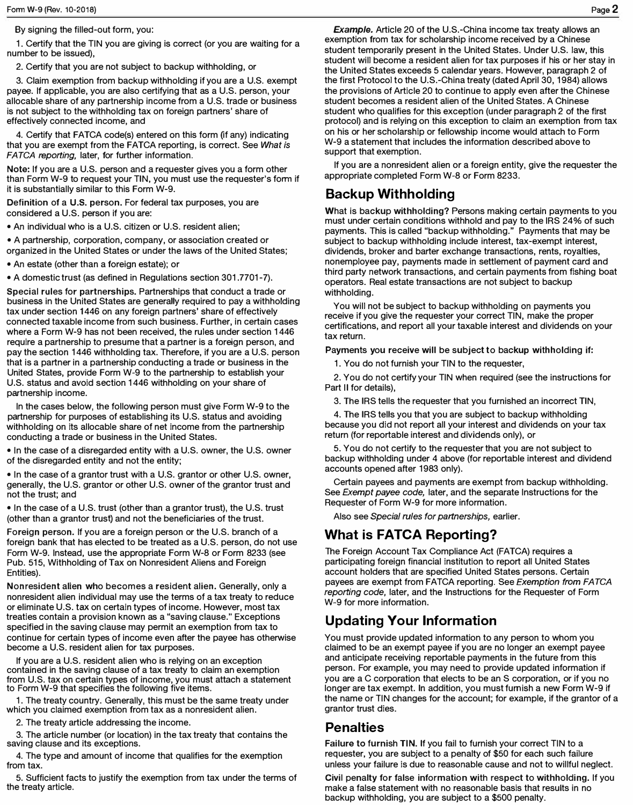By signing the filled-out form, you:

1. Certify that the TIN you are giving is correct (or you are waiting for a number to be issued),

2. Certify that you are not subject to backup withholding, or

3. Claim exemption from backup withholding if you are a U.S. exempt payee. If applicable, you are also certifying that as a U.S. person, your allocable share of any partnership income from a U.S. trade or business is not subject to the withholding tax on foreign partners' share of effectively connected income, and

4. Certify that FATCA code(s) entered on this form (if any) indicating that you are exempt from the FATCA reporting, is correct. **See** *What is FATCA reporting,* later, for further information.

**Note:** If you are a U.S. person and a requester gives you a form other than Form W-9 to request your TIN, you must use the requester's form if it is substantially similar to this Form W-9.

Definition of a U.S. person. For federal tax purposes, you are considered a U.S. person if you are:

• An individual who is a U.S. citizen or U.S. resident alien;

• A partnership, corporation, company, or association created or organized in the United States or under the laws of the United States;

• An estate (other than a foreign estate); or

• A domestic trust (as defined in Regulations section 301.7701-7).

Special rules for partnerships. Partnerships that conduct a trade or business in the United States are generally required to pay a withholding tax under section 1446 on any foreign partners' share of effectively connected taxable income from such business. Further, in certain cases where a Form W-9 has not been received, the rules under section 1446 require a partnership to presume that a partner is a foreign person, and pay the section 1446 withholding tax. Therefore, if you are a U.S. person that is a partner in a partnership conducting a trade or business in the United States, provide Form W-9 to the partnership to establish your U.S. status and avoid section 1446 withholding on your share of partnership income.

In the cases below, the following person must give Form W-9 to the partnership for purposes of establishing its U.S. status and avoiding withholding on its allocable share of net income from the partnership conducting a trade or business in the United States.

• In the case of a disregarded entity with a U.S. owner, the U.S. owner of the disregarded entity and not the entity;

• In the case of a grantor trust with a U.S. grantor or other U.S. owner, generally, the U.S. grantor or other U.S. owner of the grantor trust and not the trust; and

• In the case of a U.S. trust (other than a grantor trust), the U.S. trust (other than a grantor trust) and not the beneficiaries of the trust.

Foreign person. If you are a foreign person or the U.S. branch of a foreign bank that has elected to be treated as a U.S. person, do not use Form W-9. Instead, use the appropriate Form W-8 or Form 8233 (see Pub. 515, Withholding of Tax on Nonresident Aliens and Foreign Entities).

Nonresident alien who becomes a resident alien. Generally, only a nonresident alien individual may use the terms of a tax treaty to reduce or eliminate U.S. tax on certain types of income. However, most tax treaties contain a provision known as a "saving clause." Exceptions specified in the saving clause may permit an exemption from tax to continue for certain types of income even after the payee has otherwise become a U.S. resident alien for tax purposes.

If you are a U.S. resident alien who is relying on an exception contained in the saving clause of a tax treaty to claim an exemption from U.S. tax on certain types of income, you must attach a statement to Form W-9 that specifies the following five items.

1. The treaty country. Generally, this must be the same treaty under which you claimed exemption from tax as a nonresident alien.

2. The treaty article addressing the income.

3. The article number (or location) in the tax treaty that contains the saving clause and its exceptions.

4. The type and amount of income that qualifies for the exemption from tax.

5. Sufficient facts to justify the exemption from tax under the terms of the treaty article.

*Example.* Article 20 of the U.S.-China income tax treaty allows an exemption from tax for scholarship income received by a Chinese student temporarily present in the United States. Under U.S. law, this student will become a resident alien for tax purposes if his or her stay in the United States exceeds 5 calendar years. However, paragraph 2 of the first Protocol to the U.S.-China treaty (dated April 30, 1984) allows the provisions of Article 20 to continue to apply even after the Chinese student becomes a resident alien of the United States. A Chinese student who qualifies for this exception (under paragraph 2 of the first protocol) and is relying on this exception to claim an exemption from tax on his or her scholarship or fellowship income would attach to Form W-9 a statement that includes the information described above to support that exemption.

If you are a nonresident alien or a foreign entity, give the requester the appropriate completed Form W-8 or Form 8233.

#### **Backup Withholding**

What is backup withholding? Persons making certain payments to you must under certain conditions withhold and pay to the IRS 24% of such payments. This is called "backup withholding." Payments that may be subject to backup withholding include interest, tax-exempt interest, dividends, broker and barter exchange transactions, rents, royalties, nonemployee pay, payments made in settlement of payment card and third party network transactions, and certain payments from fishing boat operators. Real estate transactions are not subject to backup withholding.

You will not be subject to backup withholding on payments you receive if you give the requester your correct TIN, make the proper certifications, and report all your taxable interest and dividends on your tax return.

Payments you receive will be subject to backup withholding if:

1. You do not furnish your TIN to the requester,

2. You do not certify your TIN when required (see the instructions for Part II for details),

3. The IRS tells the requester that you furnished an incorrect TIN,

4. The IRS tells you that you are subject to backup withholding because you did not report all your interest and dividends on your tax return (for reportable interest and dividends only), or

5. You do not certify to the requester that you are not subject to backup withholding under 4 above (for reportable interest and dividend accounts opened after 1983 only).

Certain payees and payments are exempt from backup withholding. See *Exempt payee code,* later, and the separate Instructions for the Requester of Form W-9 for more information.

Also see *Special rules for partnerships,* earlier.

#### **What is FATCA Reporting?**

The Foreign Account Tax Compliance Act (FATCA) requires a participating foreign financial institution to report all United States account holders that are specified United States persons. Certain payees are exempt from FATCA reporting. **See** *Exemption from FATCA reporting code,* later, and the Instructions for the Requester of Form W-9 for more information.

#### **Updating Your Information**

You must provide updated information to any person to whom you claimed to be an exempt payee if you are no longer an exempt payee and anticipate receiving reportable payments in the future from this person. For example, you may need to provide updated information if you are a C corporation that elects to be an S corporation, or if you no longer are tax exempt. In addition, you must furnish a new Form W-9 if the name or TIN changes for the account; for example, if the grantor of a grantor trust dies.

#### **Penalties**

**Failure to** furnish **TIN.** If you fail to furnish your correct TIN to a requester, you are subject to a penalty of \$50 for each such failure unless your failure is due to reasonable cause and not to willful neglect.

Civil penalty for false information with respect to withholding. If you make a false statement with no reasonable basis that results in no backup withholding, you are subject to a \$500 penalty.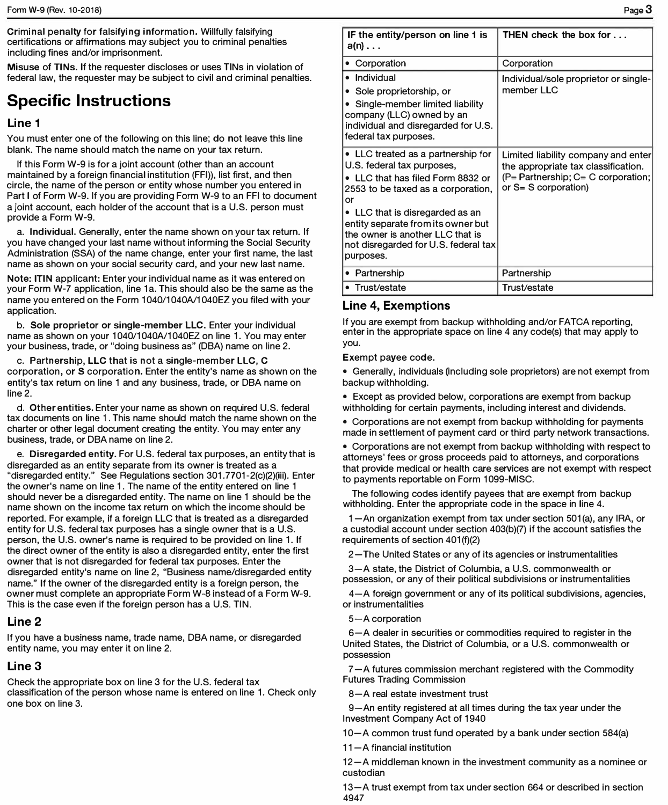Criminal penalty for falsifying information. Willfully falsifying certifications or affirmations may subject you to criminal penalties including fines and/or imprisonment.

**Misuse** of **TINs.** If the requester discloses or uses TINs in violation of federal law, the requester may be subject to civil and criminal penalties.

# **Specific Instructions**

#### **Line 1**

You must enter one of the following on this line; do not leave this line blank. The name should match the name on your tax return.

If this Form W-9 is for a joint account (other than an account maintained by a foreign financial institution (FFI)), list first, and then circle, the name of the person or entity whose number you entered in Part I of Form W-9. If you are providing Form W-9 to an FFI to document a joint account, each holder of the account that is a U.S. person must provide a Form W-9.

a. Individual. Generally, enter the name shown on your tax return. If you have changed your last name without informing the Social Security Administration (SSA) of the name change, enter your first name, the last name as shown on your social security card, and your new last name.

**Note: ITIN** applicant: Enter your individual name as it was entered on your Form W-7 application, line 1a. This should also be the same as the name you entered on the Form 1040/1040A/1040EZ you filed with your application.

b. **Sole proprietor or single-member LLC.** Enter your individual name as shown on your 1040/1040A/1040EZ on line 1. You may enter your business, trade, or "doing business as" (OBA) name on line 2.

c. Partnership, LLC that is not a single-member LLC, C corporation, or S corporation. Enter the entity's name as shown on the entity's tax return on line 1 and any business, trade, or OBA name on line 2.

d. **Other entities.** Enter your name as shown on required U.S. federal tax documents on line 1 . This name should match the name shown on the charter or other legal document creating the entity. You may enter any business, trade, or OBA name on line 2.

e. **Disregarded entity.** For U.S. federal tax purposes, an entity that is disregarded as an entity separate from its owner is treated as a "disregarded entity." See Regulations section 301.7701-2(c)(2)(iii). Enter the owner's name on line 1. The name of the entity entered on line 1 should never be a disregarded entity. The name on line 1 should be the name shown on the income tax return on which the income should be reported. For example, if a foreign LLC that is treated as a disregarded entity for U.S. federal tax purposes has a single owner that is a U.S. person, the U.S. owner's name is required to be provided on line 1. If the direct owner of the entity is also a disregarded entity, enter the first owner that is not disregarded for f <sup>e</sup>deral tax purposes. Enter the disregarded entity's name on line 2, "Business name/disregarded entity name." If the owner of the disregarded entity is a foreign person, the owner must complete an appropriate Form W-8 instead of a Form W-9. This is the case even if the foreign person has a U.S. TIN.

#### **Line2**

If you have a business name, trade name, OBA name, or disregarded entity name, you may enter it on line 2.

#### **Line3**

Check the appropriate box on line 3 for the U.S. federal tax classification of the person whose name is entered on line 1. Check only one box on line 3.

| IF the entity/person on line 1 is<br>$a(n) \ldots$                                                                                                             | <b>THEN</b> check the box for $\ldots$                                                                                                            |
|----------------------------------------------------------------------------------------------------------------------------------------------------------------|---------------------------------------------------------------------------------------------------------------------------------------------------|
| Corporation                                                                                                                                                    | Corporation                                                                                                                                       |
| • Individual                                                                                                                                                   | Individual/sole proprietor or single-                                                                                                             |
| Sole proprietorship, or                                                                                                                                        | member LLC                                                                                                                                        |
| Single-member limited liability<br>company (LLC) owned by an<br>individual and disregarded for U.S.<br>federal tax purposes.                                   |                                                                                                                                                   |
| • LLC treated as a partnership for<br>U.S. federal tax purposes,<br>• LLC that has filed Form 8832 or<br>2553 to be taxed as a corporation,<br>or              | Limited liability company and enter<br>the appropriate tax classification.<br>$(P =$ Partnership; $C = C$ corporation;<br>or $S = S$ corporation) |
| • LLC that is disregarded as an<br>entity separate from its owner but<br>the owner is another LLC that is<br>not disregarded for U.S. federal tax<br>purposes. |                                                                                                                                                   |
| • Partnership                                                                                                                                                  | Partnership                                                                                                                                       |
| • Trust/estate                                                                                                                                                 | Trust/estate                                                                                                                                      |

#### **Line 4, Exemptions**

If you are exempt from backup withholding and/or FATCA reporting, enter in the appropriate space on line 4 any code(s) that may apply to you.

Exempt payee code.

• Generally, individuals (including sole proprietors) are not exempt from backup withholding.

• Except as provided below, corporations are exempt from backup withholding for certain payments, including interest and dividends.

• Corporations are not exempt from backup withholding for payments made in settlement of payment card or third party network transactions.

• Corporations are not exempt from backup withholding with respect to attorneys' fees or gross proceeds paid to attorneys, and corporations that provide medical or health care services are not exempt with respect to payments reportable on Form 1099-MISC.

The following codes identify payees that are exempt from backup withholding. Enter the appropriate code in the space in line 4.

1-An organization exempt from tax under section 501(a), any IRA, or a custodial account under section 403(b)(7) if the account satisfies the requirements of section 401(f)(2)

2-The United States or any of its agencies or instrumentalities

3-A state, the District of Columbia, a U.S. commonwealth or possession, or any of their political subdivisions or instrumentalities

4-A foreign government or any of its political subdivisions, agencies, or instrumentalities

5-A corporation

6-A dealer in securities or commodities required to register in the United States, the District of Columbia, or a U.S. commonwealth or possession

7-A futures commission merchant registered with the Commodity Futures Trading Commission

8-A real estate investment trust

9-An entity registered at all times during the tax year under the Investment Company Act of 1940

10-A common trust fund operated by a bank under section 584(a)

11-A financial institution

12-A middleman known in the investment community as a nominee or custodian

13-A trust exempt from tax under section 664 or described in section 4947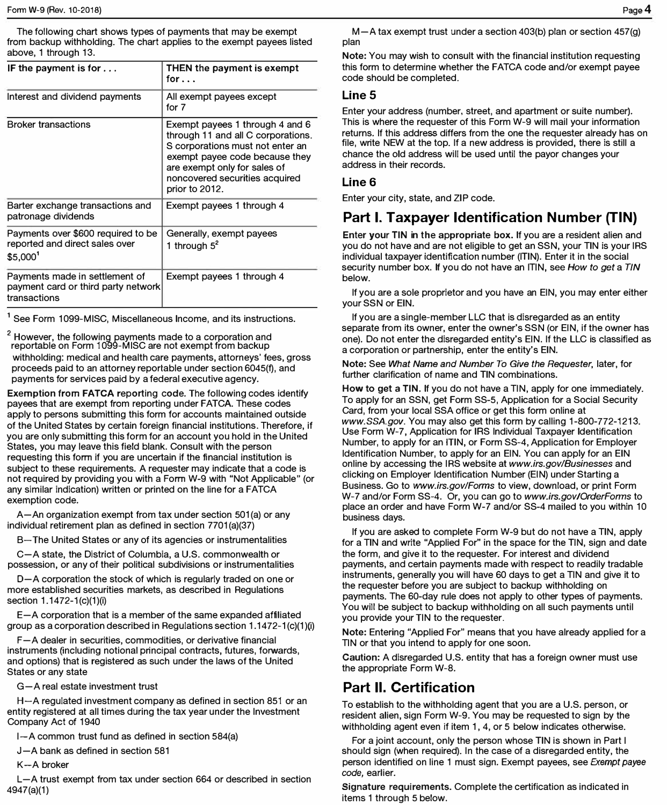The following chart shows types of payments that may be exempt from backup withholding. The chart applies to the exempt payees listed above, 1 through 13.

| IF the payment is for $\dots$                                                                 | THEN the payment is exempt<br>for $\ldots$                                                                                                                                                                                      |
|-----------------------------------------------------------------------------------------------|---------------------------------------------------------------------------------------------------------------------------------------------------------------------------------------------------------------------------------|
| Interest and dividend payments                                                                | All exempt payees except<br>for 7                                                                                                                                                                                               |
| <b>Broker transactions</b>                                                                    | Exempt payees 1 through 4 and 6<br>through 11 and all C corporations.<br>S corporations must not enter an<br>exempt payee code because they<br>are exempt only for sales of<br>noncovered securities acquired<br>prior to 2012. |
| Barter exchange transactions and<br>patronage dividends                                       | Exempt payees 1 through 4                                                                                                                                                                                                       |
| Payments over \$600 required to be<br>reported and direct sales over<br>$$5,000$ <sup>1</sup> | Generally, exempt payees<br>1 through $5^2$                                                                                                                                                                                     |
| Payments made in settlement of<br>payment card or third party network<br>transactions         | Exempt payees 1 through 4                                                                                                                                                                                                       |

<sup>1</sup> See Form 1099-MISC, Miscellaneous Income, and its instructions.

<sup>2</sup> However, the following payments made to a corporation and<br>reportable on Form 1099-MISC are not exempt from backup withholding: medical and health care payments, attorneys' fees, gross proceeds paid to an attorney reportable under section 6045(f), and payments for services paid by a federal executive agency.

Exemption from **FATCA** reporting code. The following codes identify payees that are exempt from reporting under FATCA. These codes apply to persons submitting this form for accounts maintained outside of the United States by certain foreign financial institutions. Therefore, if you are only submitting this form for an account you hold in the United States, you may leave this field blank. Consult with the person requesting this form if you are uncertain if the financial institution is subject to these requirements. A requester may indicate that a code is not required by providing you with a Form W-9 with "Not Applicable" (or any similar indication) written or printed on the line for a FATCA exemption code.

A-An organization exempt from tax under section 501 (a) or any individual retirement plan as defined in section 7701 (a)(37)

B-The United States or any of its agencies or instrumentalities

C-A state, the District of Columbia, a U.S. commonwealth or possession, or any of their political subdivisions or instrumentalities

D-A corporation the stock of which is regularly traded on one or more established securities markets, as described in Regulations section 1.1472-1(c)(1)(i)

E-A corporation that is a member of the same expanded affiliated group as a corporation described in Regulations section  $1.1472 - 1$  (c)(1)(i)

F-A dealer in securities, commodities, or derivative financial instruments (including notional principal contracts, futures, forwards, and options) that is register<sup>e</sup>d as such under the laws of the United States or any state

- A real estate investment trust

H-A regulated investment company as defined in section 851 or an entity registered at all times during the tax year under the Investment Company Act of 1940

 $I - A$  common trust fund as defined in section 584(a)

J-A bank as defined in section 581

K-A broker

L-A trust exempt from tax under section 664 or described in section 4947(a)(1)

**M-A** tax exempt trust under a section 403(b) plan or section 457(g) plan

**Note:** You may wish to consult with the financial institution requesting this form to determine whether the FATCA code and/or exempt payee code should be completed.

#### Line 5

Enter your address (number, street, and apartment or suite number). This is where the requester of this Form W-9 will mail your information returns. If this address differs from the one the requester already has on file, write NEW at the top. If a new address is provided, there is still a chance the old address will be used until the payor changes your address in their records.

#### **Line6**

Enter your city, state, and ZIP code.

# **Part I. Taxpayer Identification Number (TIN)**

Enter your TIN in the appropriate box. If you are a resident alien and you do not have and are not eligible to get an SSN, your TIN is your IRS individual taxpayer identification number (ITIN). Enter it in the social security number box. If you do not have an ITIN, see *How to get* a *TIN*  below.

If you are a sole proprietor and you have an EIN, you may enter either your SSN or EIN.

If you are a single-member LLC that is disregarded as an entity separate from its owner, enter the owner's SSN (or EIN, if the owner has one). Do not enter the disregarded entity's EIN. If the LLC is classified as a corporation or partnership, enter the entity's EIN.

**Note:** See *What Name and Number* To *Give the Requester,* later, for further clarification of name and TIN combinations.

**How to get a TIN.** If you do not have a TIN, apply for one immediately. To apply for an SSN, get Form SS-5, Application for a Social Security Card, from your local SSA office or get this form online at *www.SSA.gov.* You may also get this form by calling 1-800-772-1213. Use Form W-7, Application for IRS Individual Taxpayer Identification Number, to apply for an ITIN, or Form SS-4, Application for Employer Identification Number, to apply for an EIN. You can apply for an EIN online by accessing the IRS website at *www.irs.gov/Businesses* and clicking on Employer Identification Number (EIN) under Starting a Business. Go to *www.irs.gov/Forms* to view, download, or print Form W-7 and/or Form SS-4. Or, you can go to *www.irs.gov/OrderForms* to place an order and have Form W-7 and/or SS-4 mailed to you within 10 business days.

If you are asked to complete Form W-9 but do not have a TIN, apply for a TIN and write "Applied For" in the space for the TIN, sign and date the form, and give it to the requester. For interest and dividend payments, and certain payments made with respect to readily tradable instruments, generally you will have 60 days to get a TIN and give it to the requester before you are subject to backup withholding on payments. The 60-day rule does not apply to other types of payments. You will be subject to backup withholding on all such payments until you provide your TIN to the requester.

**Note:** Entering "Applied For" means that you have already applied for a TIN or that you intend to apply for one soon.

Caution: A disregarded U.S. entity that has a foreign owner must use the appropriate Form W-8.

# **Part II. Certification**

To establish to the withholding agent that you are a U.S. person, or resident alien, sign Form W-9. You may be requested to sign by the withholding agent even if item 1, 4, or 5 below indicates otherwise.

For a joint account, only the person whose TIN is shown in Part I should sign (when required). In the case of a disregarded entity, the person identified on line 1 must sign. Exempt payees, see *Exempt payee code,* ear1ier.

**Signature requirements.** Complete the certification as indicated in items 1 through 5 below.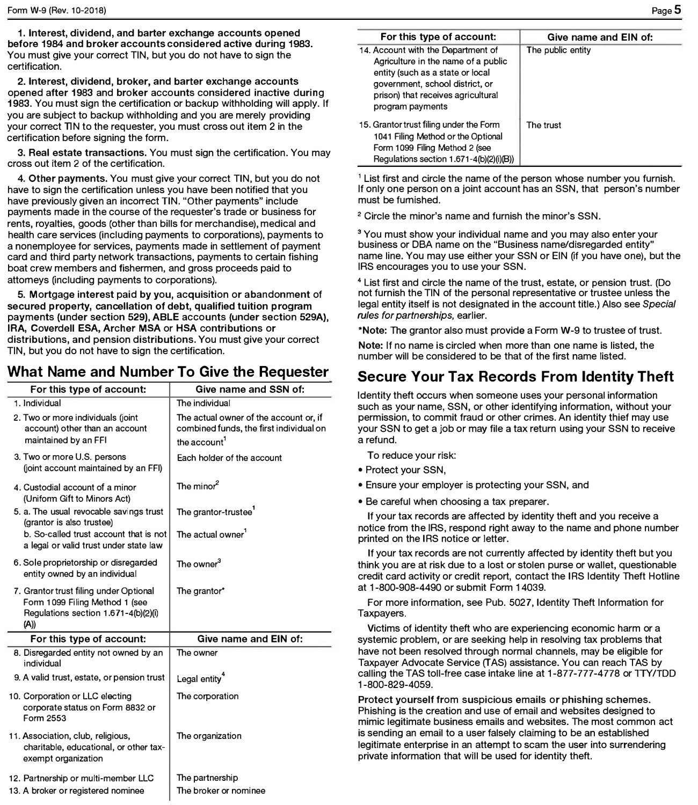**1. Interest, dividend, and barter exchange accounts opened before 1984 and broker accounts considered active during 1983.**  You must give your correct TIN, but you do not have to sign the certification.

**2. Interest, dividend, broker, and barter exchange accounts** opened after 1983 and broker accounts considered inactive during 1983. You must sign the certification or backup withholding will apply. If you are subject to backup withholding and you are merely providing your correct TIN to the requester, you must cross out item 2 in the certification before signing the form.

**3. Real estate transactions.** You must sign the certification. You may cross out item 2 of the certification.

**4. Other payments.** You must give your correct TIN, but you do not have to sign the certification unless you have been notified that you have previously given an incorrect TIN. "Other payments" include payments made in the course of the requester's trade or business for rents, royalties, goods (other than bills for merchandise), medical and health care services (including payments to corporations), payments to a nonemployee for services, payments made in settlement of payment card and third party network transactions, payments to certain fishing boat crew members and fishermen, and gross proceeds paid to attomeys (including payments to corporations).

5. Mortgage interest paid by you, acquisition or abandonment of **secured property, cancellation of debt, qualified tuition program**  payments (under section 529), **ABLE** accounts (under section **529A), IRA,** Coverdell ESA, Archer MSA or HSA contributions or distributions, and pension distributions. You must give your correct TIN, but you do not have to sign the certification.

# **What Name and Number To Give the Requester**

| For this type of account:                                                                                               | Give name and SSN of:                                                                                         |
|-------------------------------------------------------------------------------------------------------------------------|---------------------------------------------------------------------------------------------------------------|
| 1. Individual                                                                                                           | The individual                                                                                                |
| 2. Two or more individuals (joint<br>account) other than an account<br>maintained by an FFI                             | The actual owner of the account or, if<br>combined funds, the first individual on<br>the account <sup>1</sup> |
| 3. Two or more U.S. persons<br>(joint account maintained by an FFI)                                                     | Each holder of the account                                                                                    |
| 4. Custodial account of a minor<br>(Uniform Gift to Minors Act)                                                         | The minor $^2$                                                                                                |
| 5. a. The usual revocable savings trust<br>(grantor is also trustee)                                                    | The grantor-trustee                                                                                           |
| b. So-called trust account that is not<br>a legal or valid trust under state law                                        | The actual owner <sup>1</sup>                                                                                 |
| 6. Sole proprietorship or disregarded<br>entity owned by an individual                                                  | The owner <sup>3</sup>                                                                                        |
| 7. Grantor trust filing under Optional<br>Form 1099 Filing Method 1 (see<br>Regulations section 1.671-4(b)(2)(i)<br>(A) | The grantor*                                                                                                  |
| For this type of account:                                                                                               | Give name and EIN of:                                                                                         |
| 8. Disregarded entity not owned by an<br>individual                                                                     | The owner                                                                                                     |
| 9. A valid trust, estate, or pension trust                                                                              | Legal entity <sup>4</sup>                                                                                     |
| 10. Corporation or LLC electing<br>corporate status on Form 8832 or<br>Form 2553                                        | The corporation                                                                                               |
| 11. Association, club, religious,<br>charitable, educational, or other tax-<br>exempt organization                      | The organization                                                                                              |
| 12. Partnership or multi-member LLC                                                                                     | The partnership                                                                                               |
| 13. A broker or registered nominee                                                                                      | The broker or nominee                                                                                         |

| For this type of account:                                                                                                                                                                                  | Give name and EIN of: |
|------------------------------------------------------------------------------------------------------------------------------------------------------------------------------------------------------------|-----------------------|
| 14. Account with the Department of<br>Agriculture in the name of a public<br>entity (such as a state or local<br>government, school district, or<br>prison) that receives agricultural<br>program payments | The public entity     |
| 15. Grantor trust filing under the Form<br>1041 Filing Method or the Optional<br>Form 1099 Filing Method 2 (see<br>Regulations section 1.671-4(b)(2)(i)(B))                                                | The trust             |

<sup>1</sup> List first and circle the name of the person whose number you furnish. If only one person on a joint account has an SSN, that person's number must be furnished.

**<sup>2</sup>**Circle the minor's name and furnish the minor's SSN.

<sup>3</sup> You must show your individual name and you may also enter your business or OBA name on the "Business name/disregarded entity" name line. You may use either your SSN or EIN (if you have one), but the IRS encourages you to use your SSN.

4 List first and circle the name of the trust, estate, or pension trust. (Do not furnish the TIN of the personal representative or trustee unless the legal entity itself is not designated in the account title.) Also see *Special rules for partnerships,* earlier.

**\*Note:** The granter also must provide a Form W-9 to trustee of trust.

**Note:** If no name is circled when more than one name is listed, the number will be considered to be that of the first name listed.

## **Secure Your Tax Records From Identity Theft**

Identity theft occurs when someone uses your personal information such as your name, SSN, or other identifying information, without your permission, to commit fraud or other crimes. An identity thief may use your SSN to get a job or may file a tax return using your SSN to receive a refund.

To reduce your risk:

- Protect your SSN,
- Ensure your employer is protecting your SSN, and
- Be careful when choosing a tax preparer.

If your tax records are affected by identity theft and you receive a notice from the IRS, respond right away to the name and phone number printed on the IRS notice or letter.

If your tax records are not currently affected by identity theft but you think you are at risk due to a lost or stolen purse or wallet, questionable credit card activity or credit report, contact the IRS Identity Theft Hotline at 1-800-908-4490 or submit Form 14039.

For more information, see Pub. 5027, Identity Theft Information for Taxpayers.

Victims of identity theft who are experiencing economic harm or a systemic problem, or are seeking help in resolving tax problems that have not been resolved through normal channels, may be eligible for Taxpayer Advocate Service (TAS) assistance. You can reach TAS by calling the TAS toll-free case intake line at 1-877-777-4778 or TTY/TDD 1-800-829-4059.

Protect yourself from suspicious emails or phishing schemes. Phishing is the creation and use of email and websites designed to mimic legitimate business emails and websites. The most common act is sending an email to a user falsely claiming to be an established legitimate enterprise in an attempt to scam the user into surrendering private information that will be used for identity theft.